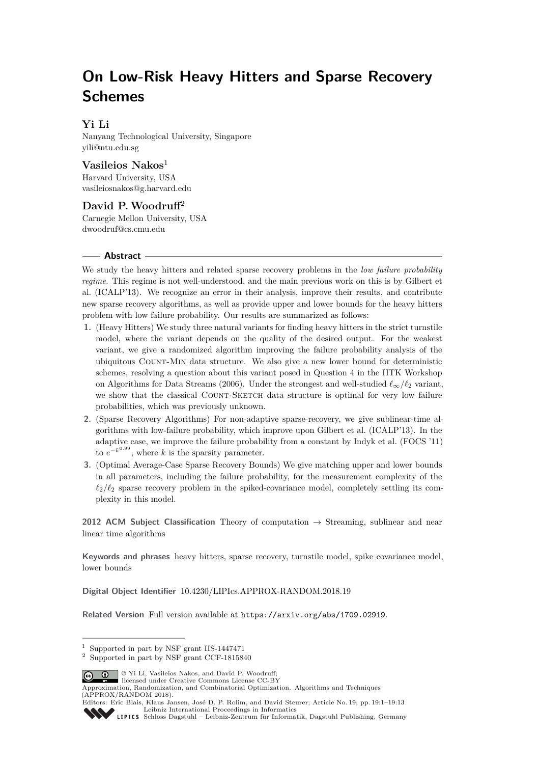# **On Low-Risk Heavy Hitters and Sparse Recovery Schemes**

# **Yi Li**

Nanyang Technological University, Singapore [yili@ntu.edu.sg](mailto:yili@ntu.edu.sg)

# **Vasileios Nakos**<sup>1</sup>

Harvard University, USA [vasileiosnakos@g.harvard.edu](mailto:vasileiosnakos@g.harvard.edu)

**David P.Woodruff**<sup>2</sup> Carnegie Mellon University, USA [dwoodruf@cs.cmu.edu](mailto:dwoodruf@cs.cmu.edu)

#### **Abstract**

We study the heavy hitters and related sparse recovery problems in the *low failure probability regime*. This regime is not well-understood, and the main previous work on this is by Gilbert et al. (ICALP'13). We recognize an error in their analysis, improve their results, and contribute new sparse recovery algorithms, as well as provide upper and lower bounds for the heavy hitters problem with low failure probability. Our results are summarized as follows:

- **1.** (Heavy Hitters) We study three natural variants for finding heavy hitters in the strict turnstile model, where the variant depends on the quality of the desired output. For the weakest variant, we give a randomized algorithm improving the failure probability analysis of the ubiquitous Count-Min data structure. We also give a new lower bound for deterministic schemes, resolving a question about this variant posed in Question 4 in the IITK Workshop on Algorithms for Data Streams (2006). Under the strongest and well-studied  $\ell_{\infty}/\ell_2$  variant, we show that the classical COUNT-SKETCH data structure is optimal for very low failure probabilities, which was previously unknown.
- **2.** (Sparse Recovery Algorithms) For non-adaptive sparse-recovery, we give sublinear-time algorithms with low-failure probability, which improve upon Gilbert et al. (ICALP'13). In the adaptive case, we improve the failure probability from a constant by Indyk et al. (FOCS '11) to  $e^{-k^{0.99}}$ , where *k* is the sparsity parameter.
- **3.** (Optimal Average-Case Sparse Recovery Bounds) We give matching upper and lower bounds in all parameters, including the failure probability, for the measurement complexity of the  $\ell_2/\ell_2$  sparse recovery problem in the spiked-covariance model, completely settling its complexity in this model.

**2012 ACM Subject Classification** Theory of computation → Streaming, sublinear and near linear time algorithms

**Keywords and phrases** heavy hitters, sparse recovery, turnstile model, spike covariance model, lower bounds

**Digital Object Identifier** [10.4230/LIPIcs.APPROX-RANDOM.2018.19](http://dx.doi.org/10.4230/LIPIcs.APPROX-RANDOM.2018.19)

**Related Version** Full version available at <https://arxiv.org/abs/1709.02919>.

© Yi Li, Vasileios Nakos, and David P. Woodruff;  $\boxed{6}$  0 licensed under Creative Commons License CC-BY

Approximation, Randomization, and Combinatorial Optimization. Algorithms and Techniques (APPROX/RANDOM 2018).

<sup>1</sup> Supported in part by NSF grant IIS-1447471

<sup>2</sup> Supported in part by NSF grant CCF-1815840

Editors: Eric Blais, Klaus Jansen, José D. P. Rolim, and David Steurer; Article No. 19; pp. 19:1–19[:13](#page-12-0) [Leibniz International Proceedings in Informatics](http://www.dagstuhl.de/lipics/)

[Schloss Dagstuhl – Leibniz-Zentrum für Informatik, Dagstuhl Publishing, Germany](http://www.dagstuhl.de)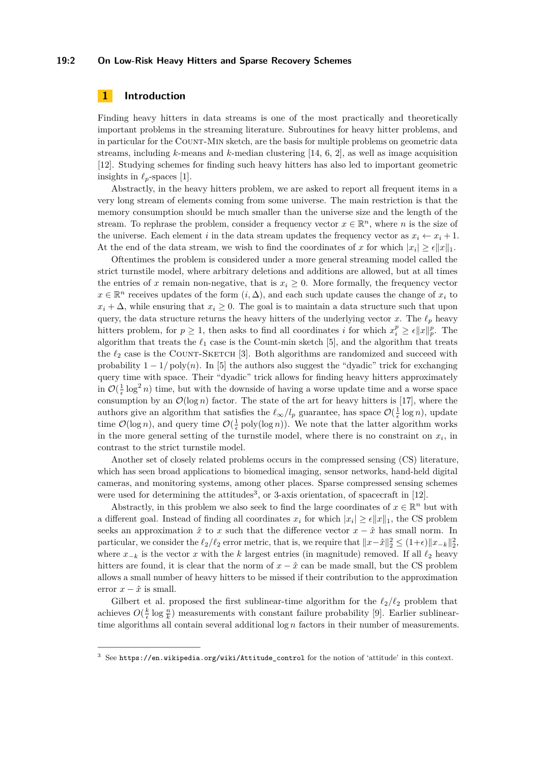#### **19:2 On Low-Risk Heavy Hitters and Sparse Recovery Schemes**

# **1 Introduction**

Finding heavy hitters in data streams is one of the most practically and theoretically important problems in the streaming literature. Subroutines for heavy hitter problems, and in particular for the COUNT-MIN sketch, are the basis for multiple problems on geometric data streams, including *k*-means and *k*-median clustering [\[14,](#page-12-1) [6,](#page-11-0) [2\]](#page-11-1), as well as image acquisition [\[12\]](#page-12-2). Studying schemes for finding such heavy hitters has also led to important geometric insights in  $\ell_p$ -spaces [\[1\]](#page-11-2).

Abstractly, in the heavy hitters problem, we are asked to report all frequent items in a very long stream of elements coming from some universe. The main restriction is that the memory consumption should be much smaller than the universe size and the length of the stream. To rephrase the problem, consider a frequency vector  $x \in \mathbb{R}^n$ , where *n* is the size of the universe. Each element *i* in the data stream updates the frequency vector as  $x_i \leftarrow x_i + 1$ . At the end of the data stream, we wish to find the coordinates of x for which  $|x_i| \geq \epsilon ||x||_1$ .

Oftentimes the problem is considered under a more general streaming model called the strict turnstile model, where arbitrary deletions and additions are allowed, but at all times the entries of *x* remain non-negative, that is  $x_i \geq 0$ . More formally, the frequency vector  $x \in \mathbb{R}^n$  receives updates of the form  $(i, \Delta)$ , and each such update causes the change of  $x_i$  to  $x_i + \Delta$ , while ensuring that  $x_i \geq 0$ . The goal is to maintain a data structure such that upon query, the data structure returns the heavy hitters of the underlying vector *x*. The  $\ell_p$  heavy hitters problem, for  $p \geq 1$ , then asks to find all coordinates *i* for which  $x_i^p \geq \epsilon ||x||_p^p$ . The algorithm that treats the  $\ell_1$  case is the Count-min sketch [\[5\]](#page-11-3), and the algorithm that treats the  $\ell_2$  case is the COUNT-SKETCH [\[3\]](#page-11-4). Both algorithms are randomized and succeed with probability  $1 - 1/poly(n)$ . In [\[5\]](#page-11-3) the authors also suggest the "dyadic" trick for exchanging query time with space. Their "dyadic" trick allows for finding heavy hitters approximately in  $\mathcal{O}(\frac{1}{\epsilon} \log^2 n)$  time, but with the downside of having a worse update time and a worse space consumption by an  $\mathcal{O}(\log n)$  factor. The state of the art for heavy hitters is [\[17\]](#page-12-3), where the authors give an algorithm that satisfies the  $\ell_{\infty}/l_p$  guarantee, has space  $\mathcal{O}(\frac{1}{\epsilon} \log n)$ , update time  $\mathcal{O}(\log n)$ , and query time  $\mathcal{O}(\frac{1}{\epsilon} \text{poly}(\log n))$ . We note that the latter algorithm works in the more general setting of the turnstile model, where there is no constraint on  $x_i$ , in contrast to the strict turnstile model.

Another set of closely related problems occurs in the compressed sensing (CS) literature, which has seen broad applications to biomedical imaging, sensor networks, hand-held digital cameras, and monitoring systems, among other places. Sparse compressed sensing schemes were used for determining the attitudes<sup>[3](#page-1-0)</sup>, or 3-axis orientation, of spacecraft in  $[12]$ .

Abstractly, in this problem we also seek to find the large coordinates of  $x \in \mathbb{R}^n$  but with a different goal. Instead of finding all coordinates  $x_i$  for which  $|x_i| \geq \epsilon ||x||_1$ , the CS problem seeks an approximation  $\hat{x}$  to *x* such that the difference vector  $x - \hat{x}$  has small norm. In particular, we consider the  $\ell_2/\ell_2$  error metric, that is, we require that  $||x-\hat{x}||_2^2 \leq (1+\epsilon) ||x_{-k}||_2^2$ , where  $x_{-k}$  is the vector *x* with the *k* largest entries (in magnitude) removed. If all  $\ell_2$  heavy hitters are found, it is clear that the norm of  $x - \hat{x}$  can be made small, but the CS problem allows a small number of heavy hitters to be missed if their contribution to the approximation error  $x - \hat{x}$  is small.

Gilbert et al. proposed the first sublinear-time algorithm for the  $\ell_2/\ell_2$  problem that achieves  $O(\frac{k}{\epsilon} \log \frac{n}{k})$  measurements with constant failure probability [\[9\]](#page-12-4). Earlier sublineartime algorithms all contain several additional log *n* factors in their number of measurements.

<span id="page-1-0"></span><sup>3</sup> See [https://en.wikipedia.org/wiki/Attitude\\_control](https://en.wikipedia.org/wiki/Attitude_control) for the notion of 'attitude' in this context.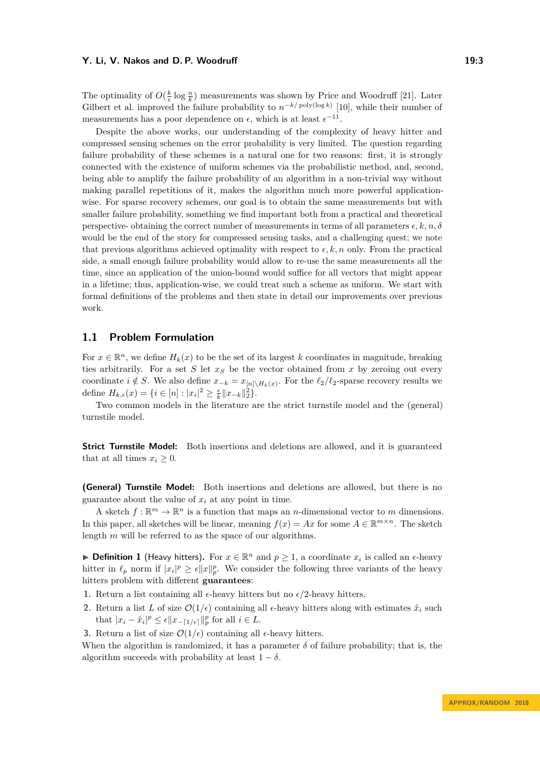The optimality of  $O(\frac{k}{\epsilon} \log \frac{n}{k})$  measurements was shown by Price and Woodruff [\[21\]](#page-12-5). Later Gilbert et al. improved the failure probability to  $n^{-k/\text{poly}(\log k)}$  [\[10\]](#page-12-6), while their number of measurements has a poor dependence on  $\epsilon$ , which is at least  $\epsilon^{-11}$ .

Despite the above works, our understanding of the complexity of heavy hitter and compressed sensing schemes on the error probability is very limited. The question regarding failure probability of these schemes is a natural one for two reasons: first, it is strongly connected with the existence of uniform schemes via the probabilistic method, and, second, being able to amplify the failure probability of an algorithm in a non-trivial way without making parallel repetitions of it, makes the algorithm much more powerful applicationwise. For sparse recovery schemes, our goal is to obtain the same measurements but with smaller failure probability, something we find important both from a practical and theoretical perspective- obtaining the correct number of measurements in terms of all parameters  $\epsilon, k, n, \delta$ would be the end of the story for compressed sensing tasks, and a challenging quest; we note that previous algorithms achieved optimality with respect to  $\epsilon, k, n$  only. From the practical side, a small enough failure probability would allow to re-use the same measurements all the time, since an application of the union-bound would suffice for all vectors that might appear in a lifetime; thus, application-wise, we could treat such a scheme as uniform. We start with formal definitions of the problems and then state in detail our improvements over previous work.

#### **1.1 Problem Formulation**

For  $x \in \mathbb{R}^n$ , we define  $H_k(x)$  to be the set of its largest k coordinates in magnitude, breaking ties arbitrarily. For a set *S* let  $x<sub>S</sub>$  be the vector obtained from *x* by zeroing out every coordinate  $i \notin S$ . We also define  $x_{-k} = x_{[n] \setminus H_k(x)}$ . For the  $\ell_2/\ell_2$ -sparse recovery results we define  $H_{k,\epsilon}(x) = \{i \in [n] : |x_i|^2 \ge \frac{\epsilon}{k} ||x_{-k}||_2^2\}.$ 

Two common models in the literature are the strict turnstile model and the (general) turnstile model.

**Strict Turnstile Model:** Both insertions and deletions are allowed, and it is guaranteed that at all times  $x_i \geq 0$ .

**(General) Turnstile Model:** Both insertions and deletions are allowed, but there is no guarantee about the value of  $x_i$  at any point in time.

A sketch  $f: \mathbb{R}^m \to \mathbb{R}^n$  is a function that maps an *n*-dimensional vector to *m* dimensions. In this paper, all sketches will be linear, meaning  $f(x) = Ax$  for some  $A \in \mathbb{R}^{m \times n}$ . The sketch length *m* will be referred to as the space of our algorithms.

**► Definition 1** (Heavy hitters). For  $x \in \mathbb{R}^n$  and  $p \ge 1$ , a coordinate  $x_i$  is called an  $\epsilon$ -heavy hitter in  $\ell_p$  norm if  $|x_i|^p \geq \epsilon ||x||_p^p$ . We consider the following three variants of the heavy hitters problem with different **guarantees**:

- **1.** Return a list containing all  $\epsilon$ -heavy hitters but no  $\epsilon/2$ -heavy hitters.
- **2.** Return a list *L* of size  $\mathcal{O}(1/\epsilon)$  containing all  $\epsilon$ -heavy hitters along with estimates  $\hat{x}_i$  such that  $|x_i - \hat{x}_i|^p \leq \epsilon ||x_{-[1/\epsilon]}||_p^p$  for all  $i \in L$ .
- **3.** Return a list of size  $\mathcal{O}(1/\epsilon)$  containing all  $\epsilon$ -heavy hitters.

When the algorithm is randomized, it has a parameter  $\delta$  of failure probability; that is, the algorithm succeeds with probability at least  $1 - \delta$ .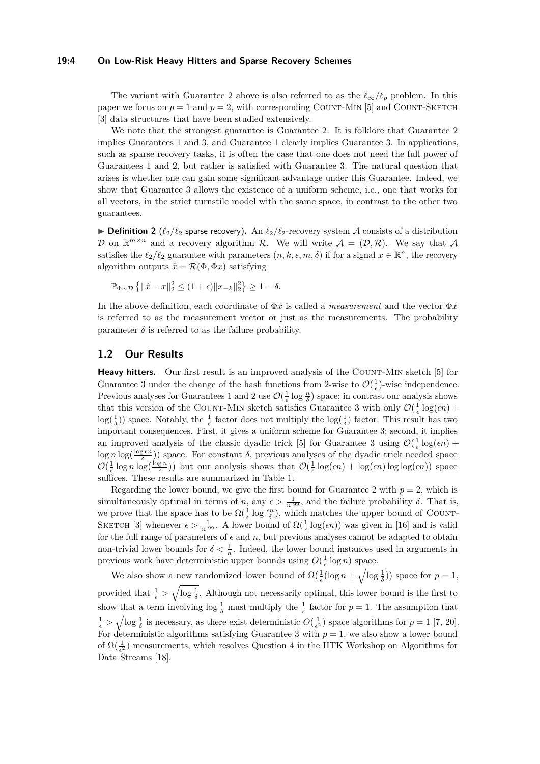#### **19:4 On Low-Risk Heavy Hitters and Sparse Recovery Schemes**

The variant with Guarantee 2 above is also referred to as the  $\ell_{\infty}/\ell_p$  problem. In this paper we focus on  $p = 1$  and  $p = 2$ , with corresponding COUNT-MIN [\[5\]](#page-11-3) and COUNT-SKETCH [\[3\]](#page-11-4) data structures that have been studied extensively.

We note that the strongest guarantee is Guarantee 2. It is folklore that Guarantee 2 implies Guarantees 1 and 3, and Guarantee 1 clearly implies Guarantee 3. In applications, such as sparse recovery tasks, it is often the case that one does not need the full power of Guarantees 1 and 2, but rather is satisfied with Guarantee 3. The natural question that arises is whether one can gain some significant advantage under this Guarantee. Indeed, we show that Guarantee 3 allows the existence of a uniform scheme, i.e., one that works for all vectors, in the strict turnstile model with the same space, in contrast to the other two guarantees.

**Definition 2** ( $\ell_2/\ell_2$  sparse recovery). An  $\ell_2/\ell_2$ -recovery system A consists of a distribution D on  $\mathbb{R}^{m \times n}$  and a recovery algorithm R. We will write  $\mathcal{A} = (\mathcal{D}, \mathcal{R})$ . We say that A satisfies the  $\ell_2/\ell_2$  guarantee with parameters  $(n, k, \epsilon, m, \delta)$  if for a signal  $x \in \mathbb{R}^n$ , the recovery algorithm outputs  $\hat{x} = \mathcal{R}(\Phi, \Phi x)$  satisfying

$$
\mathbb{P}_{\Phi \sim \mathcal{D}} \left\{ \|\hat{x} - x\|_2^2 \le (1 + \epsilon) \|x_{-k}\|_2^2 \right\} \ge 1 - \delta.
$$

In the above definition, each coordinate of Φ*x* is called a *measurement* and the vector Φ*x* is referred to as the measurement vector or just as the measurements. The probability parameter  $\delta$  is referred to as the failure probability.

# **1.2 Our Results**

**Heavy hitters.** Our first result is an improved analysis of the COUNT-MIN sketch [\[5\]](#page-11-3) for Guarantee 3 under the change of the hash functions from 2-wise to  $\mathcal{O}(\frac{1}{\epsilon})$ -wise independence. Previous analyses for Guarantees 1 and 2 use  $\mathcal{O}(\frac{1}{\epsilon} \log \frac{n}{\delta})$  space; in contrast our analysis shows that this version of the COUNT-MIN sketch satisfies Guarantee 3 with only  $\mathcal{O}(\frac{1}{\epsilon} \log(\epsilon n) +$  $log(\frac{1}{\delta})$  space. Notably, the  $\frac{1}{\epsilon}$  factor does not multiply the  $log(\frac{1}{\delta})$  factor. This result has two important consequences. First, it gives a uniform scheme for Guarantee 3; second, it implies an improved analysis of the classic dyadic trick [\[5\]](#page-11-3) for Guarantee 3 using  $\mathcal{O}(\frac{1}{\epsilon} \log(\epsilon n) +$  $\log n \log(\frac{\log \epsilon n}{\delta})$ ) space. For constant *δ*, previous analyses of the dyadic trick needed space  $\mathcal{O}(\frac{1}{\epsilon}\log n \log(\frac{\log n}{\epsilon}))$  but our analysis shows that  $\mathcal{O}(\frac{1}{\epsilon}\log(\epsilon n) + \log(\epsilon n) \log \log(\epsilon n))$  space suffices. These results are summarized in Table [1.](#page-4-0)

Regarding the lower bound, we give the first bound for Guarantee 2 with  $p = 2$ , which is simultaneously optimal in terms of *n*, any  $\epsilon > \frac{1}{n^{.99}}$ , and the failure probability  $\delta$ . That is, we prove that the space has to be  $\Omega(\frac{1}{\epsilon} \log \frac{\epsilon n}{\delta})$ , which matches the upper bound of COUNT-SKETCH [\[3\]](#page-11-4) whenever  $\epsilon > \frac{1}{n^{.99}}$ . A lower bound of  $\Omega(\frac{1}{\epsilon} \log(\epsilon n))$  was given in [\[16\]](#page-12-7) and is valid for the full range of parameters of  $\epsilon$  and  $n$ , but previous analyses cannot be adapted to obtain non-trivial lower bounds for  $\delta < \frac{1}{n}$ . Indeed, the lower bound instances used in arguments in previous work have deterministic upper bounds using  $O(\frac{1}{\epsilon} \log n)$  space.

We also show a new randomized lower bound of  $\Omega(\frac{1}{\epsilon}(\log n + \sqrt{\log \frac{1}{\delta}}))$  space for  $p = 1$ , provided that  $\frac{1}{\epsilon} > \sqrt{\log \frac{1}{\delta}}$ . Although not necessarily optimal, this lower bound is the first to show that a term involving  $\log \frac{1}{\delta}$  must multiply the  $\frac{1}{\epsilon}$  factor for  $p = 1$ . The assumption that  $\frac{1}{\epsilon} > \sqrt{\log \frac{1}{\delta}}$  is necessary, as there exist deterministic  $O(\frac{1}{\epsilon^2})$  space algorithms for  $p = 1$  [\[7,](#page-12-8) [20\]](#page-12-9). For deterministic algorithms satisfying Guarantee 3 with  $p = 1$ , we also show a lower bound of  $\Omega(\frac{1}{\epsilon^2})$  measurements, which resolves Question 4 in the IITK Workshop on Algorithms for Data Streams [\[18\]](#page-12-10).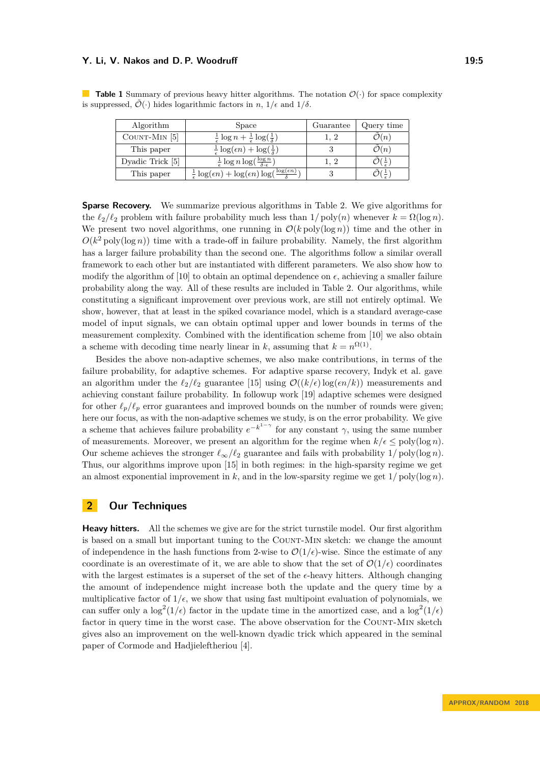#### **Y. Li, V. Nakos and D. P. Woodruff 19:5**

is suppressed,  $\tilde{\mathcal{O}}(\cdot)$  hides logarithmic factors in *n*,  $1/\epsilon$  and  $1/\delta$ .

Algorithm Space Guarantee Query time COUNT-MIN [\[5\]](#page-11-3)  $\frac{1}{6}$  $\epsilon$  $\log n +$ 1  $\epsilon$  $\log(\frac{1}{5})$ *δ*  $\big)$  1, 2  $\tilde{\mathcal{O}}(n)$ 

<span id="page-4-0"></span>**Table 1** Summary of previous heavy hitter algorithms. The notation  $\mathcal{O}(\cdot)$  for space complexity

| 11501101111      | www                                                                                          | u uurun v | $\alpha$ as $\gamma$ and |
|------------------|----------------------------------------------------------------------------------------------|-----------|--------------------------|
| COUNT-MIN $[5]$  | $\frac{1}{\epsilon} \log n + \frac{1}{\epsilon} \log(\frac{1}{\delta})$                      |           | $\mathcal{O}(n)$         |
| This paper       | $\frac{1}{\epsilon} \log(\epsilon n) + \log(\frac{1}{\delta})$                               |           | $\mathcal{O}(n)$         |
| Dyadic Trick [5] | $\frac{1}{\epsilon} \log n \log(\frac{\log n}{\delta \cdot \epsilon})$                       |           |                          |
| This paper       | $log(\epsilon n)$<br>$\frac{1}{\epsilon} \log(\epsilon n) + \log(\epsilon n) \log(\epsilon)$ |           |                          |

**Sparse Recovery.** We summarize previous algorithms in Table [2.](#page-5-0) We give algorithms for the  $\ell_2/\ell_2$  problem with failure probability much less than  $1/poly(n)$  whenever  $k = \Omega(\log n)$ . We present two novel algorithms, one running in  $\mathcal{O}(k \operatorname{poly}(\log n))$  time and the other in  $O(k^2 \text{ poly}(\log n))$  time with a trade-off in failure probability. Namely, the first algorithm has a larger failure probability than the second one. The algorithms follow a similar overall framework to each other but are instantiated with different parameters. We also show how to modify the algorithm of [\[10\]](#page-12-6) to obtain an optimal dependence on  $\epsilon$ , achieving a smaller failure probability along the way. All of these results are included in Table [2.](#page-5-0) Our algorithms, while constituting a significant improvement over previous work, are still not entirely optimal. We show, however, that at least in the spiked covariance model, which is a standard average-case model of input signals, we can obtain optimal upper and lower bounds in terms of the measurement complexity. Combined with the identification scheme from [\[10\]](#page-12-6) we also obtain a scheme with decoding time nearly linear in *k*, assuming that  $k = n^{\Omega(1)}$ .

Besides the above non-adaptive schemes, we also make contributions, in terms of the failure probability, for adaptive schemes. For adaptive sparse recovery, Indyk et al. gave an algorithm under the  $\ell_2/\ell_2$  guarantee [\[15\]](#page-12-11) using  $\mathcal{O}((k/\epsilon)\log(\epsilon n/k))$  measurements and achieving constant failure probability. In followup work [\[19\]](#page-12-12) adaptive schemes were designed for other  $\ell_p/\ell_p$  error guarantees and improved bounds on the number of rounds were given; here our focus, as with the non-adaptive schemes we study, is on the error probability. We give a scheme that achieves failure probability  $e^{-k^{1-\gamma}}$  for any constant  $\gamma$ , using the same number of measurements. Moreover, we present an algorithm for the regime when  $k/\epsilon \leq \text{poly}(\log n)$ . Our scheme achieves the stronger  $\ell_{\infty}/\ell_2$  guarantee and fails with probability  $1/\text{poly}(\log n)$ . Thus, our algorithms improve upon [\[15\]](#page-12-11) in both regimes: in the high-sparsity regime we get an almost exponential improvement in  $k$ , and in the low-sparsity regime we get  $1/poly(\log n)$ .

# **2 Our Techniques**

**Heavy hitters.** All the schemes we give are for the strict turnstile model. Our first algorithm is based on a small but important tuning to the COUNT-MIN sketch: we change the amount of independence in the hash functions from 2-wise to  $\mathcal{O}(1/\epsilon)$ -wise. Since the estimate of any coordinate is an overestimate of it, we are able to show that the set of  $\mathcal{O}(1/\epsilon)$  coordinates with the largest estimates is a superset of the set of the  $\epsilon$ -heavy hitters. Although changing the amount of independence might increase both the update and the query time by a multiplicative factor of  $1/\epsilon$ , we show that using fast multipoint evaluation of polynomials, we can suffer only a  $\log^2(1/\epsilon)$  factor in the update time in the amortized case, and a  $\log^2(1/\epsilon)$ factor in query time in the worst case. The above observation for the Count-Min sketch gives also an improvement on the well-known dyadic trick which appeared in the seminal paper of Cormode and Hadjieleftheriou [\[4\]](#page-11-5).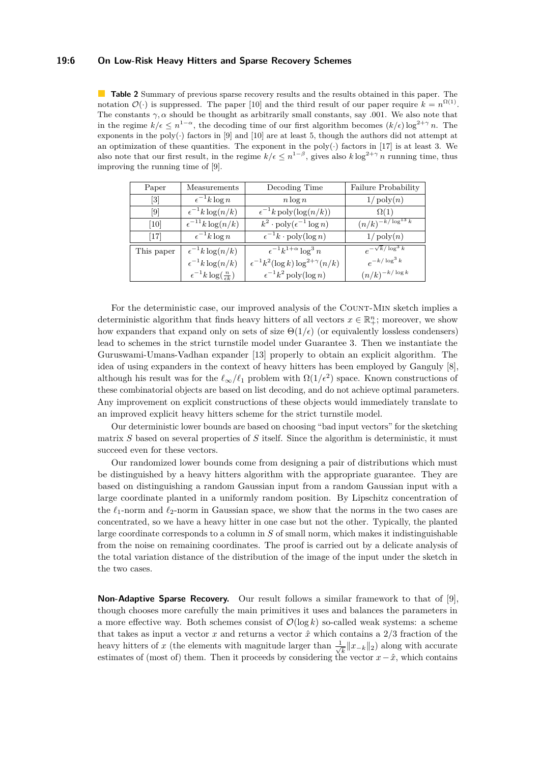#### **19:6 On Low-Risk Heavy Hitters and Sparse Recovery Schemes**

<span id="page-5-0"></span>**Table 2** Summary of previous sparse recovery results and the results obtained in this paper. The notation  $\mathcal{O}(\cdot)$  is suppressed. The paper [\[10\]](#page-12-6) and the third result of our paper require  $k = n^{\Omega(1)}$ . The constants  $\gamma$ ,  $\alpha$  should be thought as arbitrarily small constants, say 0.01. We also note that in the regime  $k/\epsilon \leq n^{1-\alpha}$ , the decoding time of our first algorithm becomes  $(k/\epsilon) \log^{2+\gamma} n$ . The exponents in the poly( $\cdot$ ) factors in [\[9\]](#page-12-4) and [\[10\]](#page-12-6) are at least 5, though the authors did not attempt at an optimization of these quantities. The exponent in the poly( $\cdot$ ) factors in [\[17\]](#page-12-3) is at least 3. We also note that our first result, in the regime  $k/\epsilon \leq n^{1-\beta}$ , gives also  $k \log^{2+\gamma} n$  running time, thus improving the running time of [\[9\]](#page-12-4).

| Paper                        | Measurements                               | Decoding Time                                   | Failure Probability        |
|------------------------------|--------------------------------------------|-------------------------------------------------|----------------------------|
| $\left\lceil 3 \right\rceil$ | $\epsilon^{-1}k\log n$                     | $n \log n$                                      | $1/\operatorname{poly}(n)$ |
| 9                            | $\epsilon^{-1}k\log(n/k)$                  | $\epsilon^{-1}k \operatorname{poly}(\log(n/k))$ | $\Omega(1)$                |
| 10                           | $\epsilon^{-11}k\log(n/k)$                 | $k^2 \cdot \text{poly}(\epsilon^{-1} \log n)$   | $(n/k)^{-k/\log^{13} k}$   |
| $[17]$                       | $\epsilon^{-1}k\log n$                     | $\epsilon^{-1}k \cdot \text{poly}(\log n)$      | $1/\operatorname{poly}(n)$ |
| This paper                   | $\epsilon^{-1}k\log(n/k)$                  | $\epsilon^{-1}k^{1+\alpha}\log^3 n$             | $e^{-\sqrt{k}/\log^3{k}}$  |
|                              | $\epsilon^{-1}k\log(n/k)$                  | $\epsilon^{-1}k^2(\log k)\log^{2+\gamma}(n/k)$  | $e^{-k/\log^3 k}$          |
|                              | $\epsilon^{-1}k\log(\frac{n}{\epsilon k})$ | $\epsilon^{-1}k^2$ poly(log n)                  | $(n/k)^{-k/\log k}$        |

For the deterministic case, our improved analysis of the COUNT-MIN sketch implies a deterministic algorithm that finds heavy hitters of all vectors  $x \in \mathbb{R}^n_+$ ; moreover, we show how expanders that expand only on sets of size  $\Theta(1/\epsilon)$  (or equivalently lossless condensers) lead to schemes in the strict turnstile model under Guarantee 3. Then we instantiate the Guruswami-Umans-Vadhan expander [\[13\]](#page-12-13) properly to obtain an explicit algorithm. The idea of using expanders in the context of heavy hitters has been employed by Ganguly [\[8\]](#page-12-14), although his result was for the  $\ell_{\infty}/\ell_1$  problem with  $\Omega(1/\epsilon^2)$  space. Known constructions of these combinatorial objects are based on list decoding, and do not achieve optimal parameters. Any improvement on explicit constructions of these objects would immediately translate to an improved explicit heavy hitters scheme for the strict turnstile model.

Our deterministic lower bounds are based on choosing "bad input vectors" for the sketching matrix *S* based on several properties of *S* itself. Since the algorithm is deterministic, it must succeed even for these vectors.

Our randomized lower bounds come from designing a pair of distributions which must be distinguished by a heavy hitters algorithm with the appropriate guarantee. They are based on distinguishing a random Gaussian input from a random Gaussian input with a large coordinate planted in a uniformly random position. By Lipschitz concentration of the  $\ell_1$ -norm and  $\ell_2$ -norm in Gaussian space, we show that the norms in the two cases are concentrated, so we have a heavy hitter in one case but not the other. Typically, the planted large coordinate corresponds to a column in *S* of small norm, which makes it indistinguishable from the noise on remaining coordinates. The proof is carried out by a delicate analysis of the total variation distance of the distribution of the image of the input under the sketch in the two cases.

**Non-Adaptive Sparse Recovery.** Our result follows a similar framework to that of [\[9\]](#page-12-4), though chooses more carefully the main primitives it uses and balances the parameters in a more effective way. Both schemes consist of  $\mathcal{O}(\log k)$  so-called weak systems: a scheme that takes as input a vector *x* and returns a vector *x*ˆ which contains a 2*/*3 fraction of the heavy hitters of x (the elements with magnitude larger than  $\frac{1}{\sqrt{2}}$  $\frac{k}{k}$  || $x$ <sub>−*k*</sub>||<sub>2</sub>) along with accurate estimates of (most of) them. Then it proceeds by considering the vector  $x - \hat{x}$ , which contains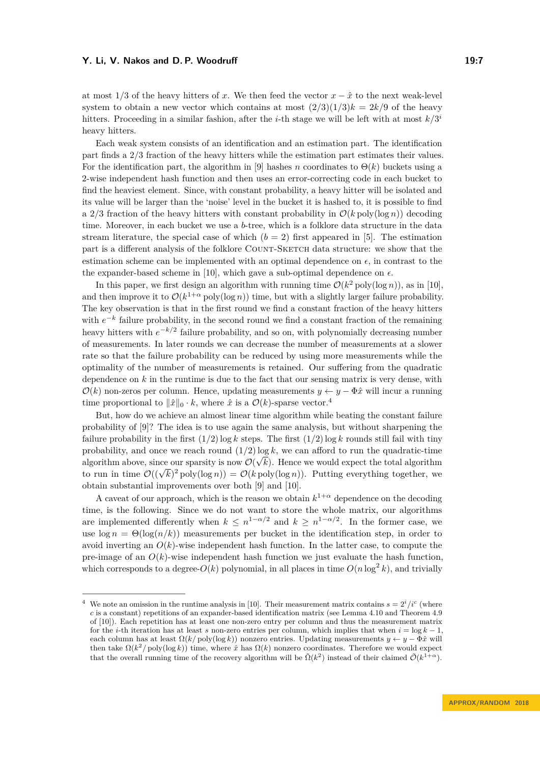#### **Y. Li, V. Nakos and D. P. Woodruff 19:7**

at most 1/3 of the heavy hitters of x. We then feed the vector  $x - \hat{x}$  to the next weak-level system to obtain a new vector which contains at most  $(2/3)(1/3)k = 2k/9$  of the heavy hitters. Proceeding in a similar fashion, after the *i*-th stage we will be left with at most  $k/3$ <sup>*i*</sup> heavy hitters.

Each weak system consists of an identification and an estimation part. The identification part finds a 2*/*3 fraction of the heavy hitters while the estimation part estimates their values. For the identification part, the algorithm in [\[9\]](#page-12-4) hashes *n* coordinates to  $\Theta(k)$  buckets using a 2-wise independent hash function and then uses an error-correcting code in each bucket to find the heaviest element. Since, with constant probability, a heavy hitter will be isolated and its value will be larger than the 'noise' level in the bucket it is hashed to, it is possible to find a 2/3 fraction of the heavy hitters with constant probability in  $\mathcal{O}(k \text{ poly}(\log n))$  decoding time. Moreover, in each bucket we use a *b*-tree, which is a folklore data structure in the data stream literature, the special case of which  $(b = 2)$  first appeared in [\[5\]](#page-11-3). The estimation part is a different analysis of the folklore COUNT-SKETCH data structure: we show that the estimation scheme can be implemented with an optimal dependence on  $\epsilon$ , in contrast to the the expander-based scheme in [\[10\]](#page-12-6), which gave a sub-optimal dependence on  $\epsilon$ .

In this paper, we first design an algorithm with running time  $\mathcal{O}(k^2 \text{ poly}(\log n))$ , as in [\[10\]](#page-12-6), and then improve it to  $\mathcal{O}(k^{1+\alpha} \text{poly}(\log n))$  time, but with a slightly larger failure probability. The key observation is that in the first round we find a constant fraction of the heavy hitters with  $e^{-k}$  failure probability, in the second round we find a constant fraction of the remaining heavy hitters with  $e^{-k/2}$  failure probability, and so on, with polynomially decreasing number of measurements. In later rounds we can decrease the number of measurements at a slower rate so that the failure probability can be reduced by using more measurements while the optimality of the number of measurements is retained. Our suffering from the quadratic dependence on *k* in the runtime is due to the fact that our sensing matrix is very dense, with  $\mathcal{O}(k)$  non-zeros per column. Hence, updating measurements  $y \leftarrow y - \Phi \hat{x}$  will incur a running time proportional to  $\|\hat{x}\|_0 \cdot k$ , where  $\hat{x}$  is a  $\mathcal{O}(k)$ -sparse vector.<sup>[4](#page-6-0)</sup>

But, how do we achieve an almost linear time algorithm while beating the constant failure probability of [\[9\]](#page-12-4)? The idea is to use again the same analysis, but without sharpening the failure probability in the first  $(1/2)$  log *k* steps. The first  $(1/2)$  log *k* rounds still fail with tiny probability, and once we reach round  $(1/2)$  log *k*, we can afford to run the quadratic-time algorithm above, since our sparsity is now  $\mathcal{O}(\sqrt{k})$ . Hence we would expect the total algorithm algorithm above, since our sparsity is now  $O(\sqrt{\kappa})$ . Hence we would expect the total algorithm<br>to run in time  $O((\sqrt{k})^2 \text{ poly}(\log n)) = O(k \text{ poly}(\log n))$ . Putting everything together, we obtain substantial improvements over both [\[9\]](#page-12-4) and [\[10\]](#page-12-6).

A caveat of our approach, which is the reason we obtain  $k^{1+\alpha}$  dependence on the decoding time, is the following. Since we do not want to store the whole matrix, our algorithms are implemented differently when  $k \leq n^{1-\alpha/2}$  and  $k \geq n^{1-\alpha/2}$ . In the former case, we use  $\log n = \Theta(\log(n/k))$  measurements per bucket in the identification step, in order to avoid inverting an  $O(k)$ -wise independent hash function. In the latter case, to compute the pre-image of an  $O(k)$ -wise independent hash function we just evaluate the hash function, which corresponds to a degree- $O(k)$  polynomial, in all places in time  $O(n \log^2 k)$ , and trivially

<span id="page-6-0"></span><sup>&</sup>lt;sup>4</sup> We note an omission in the runtime analysis in [\[10\]](#page-12-6). Their measurement matrix contains  $s = 2^{i}/i^{c}$  (where *c* is a constant) repetitions of an expander-based identification matrix (see Lemma 4.10 and Theorem 4.9 of [\[10\]](#page-12-6)). Each repetition has at least one non-zero entry per column and thus the measurement matrix for the *i*-th iteration has at least *s* non-zero entries per column, which implies that when  $i = \log k - 1$ , each column has at least  $\Omega(k/\text{poly}(\log k))$  nonzero entries. Updating measurements  $y \leftarrow y - \Phi \hat{x}$  will then take  $\Omega(k^2/\text{poly}(\log k))$  time, where  $\hat{x}$  has  $\Omega(k)$  nonzero coordinates. Therefore we would expect that the overall running time of the recovery algorithm will be  $\tilde{\Omega}(k^2)$  instead of their claimed  $\tilde{\mathcal{O}}(k^{1+\alpha})$ .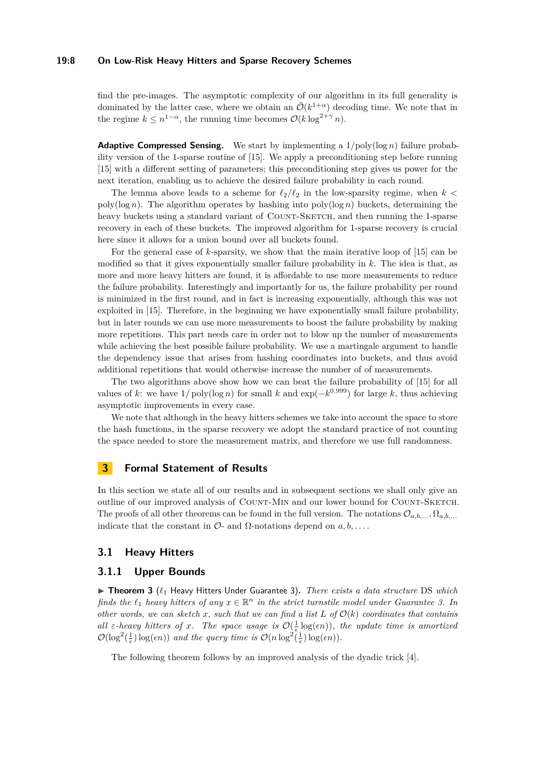#### **19:8 On Low-Risk Heavy Hitters and Sparse Recovery Schemes**

find the pre-images. The asymptotic complexity of our algorithm in its full generality is dominated by the latter case, where we obtain an  $\tilde{\mathcal{O}}(k^{1+\alpha})$  decoding time. We note that in the regime  $k \leq n^{1-\alpha}$ , the running time becomes  $\mathcal{O}(k \log^{2+\gamma} n)$ .

**Adaptive Compressed Sensing.** We start by implementing a  $1/poly(log n)$  failure probability version of the 1-sparse routine of [\[15\]](#page-12-11). We apply a preconditioning step before running [\[15\]](#page-12-11) with a different setting of parameters; this preconditioning step gives us power for the next iteration, enabling us to achieve the desired failure probability in each round.

The lemma above leads to a scheme for  $\ell_2/\ell_2$  in the low-sparsity regime, when  $k <$ poly(log *n*). The algorithm operates by hashing into poly(log *n*) buckets, determining the heavy buckets using a standard variant of COUNT-SKETCH, and then running the 1-sparse recovery in each of these buckets. The improved algorithm for 1-sparse recovery is crucial here since it allows for a union bound over all buckets found.

For the general case of *k*-sparsity, we show that the main iterative loop of [\[15\]](#page-12-11) can be modified so that it gives exponentially smaller failure probability in *k*. The idea is that, as more and more heavy hitters are found, it is affordable to use more measurements to reduce the failure probability. Interestingly and importantly for us, the failure probability per round is minimized in the first round, and in fact is increasing exponentially, although this was not exploited in [\[15\]](#page-12-11). Therefore, in the beginning we have exponentially small failure probability, but in later rounds we can use more measurements to boost the failure probability by making more repetitions. This part needs care in order not to blow up the number of measurements while achieving the best possible failure probability. We use a martingale argument to handle the dependency issue that arises from hashing coordinates into buckets, and thus avoid additional repetitions that would otherwise increase the number of of measurements.

The two algorithms above show how we can beat the failure probability of [\[15\]](#page-12-11) for all values of *k*: we have  $1/poly(\log n)$  for small *k* and  $exp(-k^{0.999})$  for large *k*, thus achieving asymptotic improvements in every case.

We note that although in the heavy hitters schemes we take into account the space to store the hash functions, in the sparse recovery we adopt the standard practice of not counting the space needed to store the measurement matrix, and therefore we use full randomness.

# **3 Formal Statement of Results**

In this section we state all of our results and in subsequent sections we shall only give an outline of our improved analysis of COUNT-MIN and our lower bound for COUNT-SKETCH. The proofs of all other theorems can be found in the full version. The notations  $\mathcal{O}_{a,b,\ldots}, \Omega_{a,b,\ldots}$ indicate that the constant in  $\mathcal{O}$ - and  $\Omega$ -notations depend on  $a, b, \ldots$ .

### **3.1 Heavy Hitters**

#### **3.1.1 Upper Bounds**

▶ Theorem 3 ( $\ell_1$  Heavy Hitters Under Guarantee 3). *There exists a data structure* DS *which finds the*  $\ell_1$  *heavy hitters of any*  $x \in \mathbb{R}^n$  *in the strict turnstile model under Guarantee 3. In other words, we can sketch*  $x$ *, such that we can find a list*  $L$  *of*  $O(k)$  *coordinates that contains* all  $\varepsilon$ -heavy hitters of *x*. The space usage is  $\mathcal{O}(\frac{1}{\varepsilon} \log(\epsilon n))$ , the update time is amortized  $\mathcal{O}(\log^2(\frac{1}{\epsilon}) \log(\epsilon n))$  and the query time is  $\mathcal{O}(n \log^2(\frac{1}{\epsilon}) \log(\epsilon n)).$ 

The following theorem follows by an improved analysis of the dyadic trick [\[4\]](#page-11-5).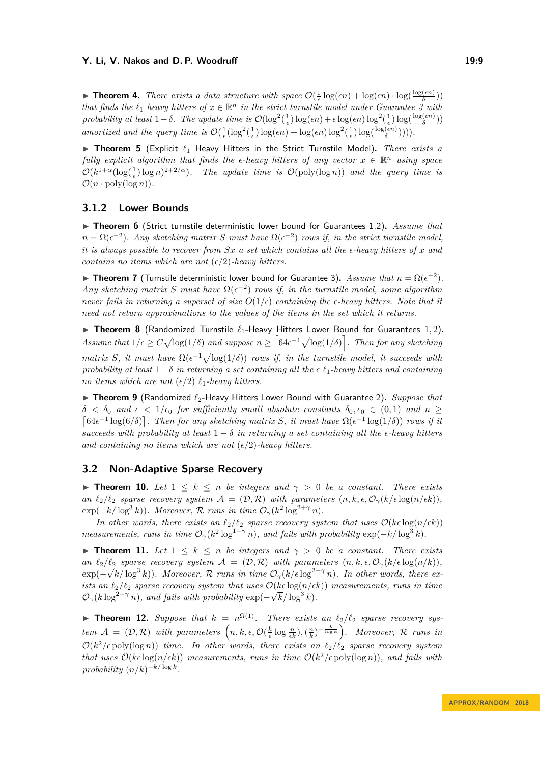**Findment 4.** There exists a data structure with space  $\mathcal{O}(\frac{1}{\epsilon} \log(\epsilon n) + \log(\epsilon n) \cdot \log(\frac{\log(\epsilon n)}{\delta}))$  $\frac{\pi(n)}{\delta})$ *that finds the*  $\ell_1$  *heavy hitters of*  $x \in \mathbb{R}^n$  *in the strict turnstile model under Guarantee 3 with probability at least*  $1 - \delta$ *. The update time is*  $\mathcal{O}(\log^2(\frac{1}{\epsilon}) \log(\epsilon n) + \epsilon \log(\epsilon n) \log^2(\frac{1}{\epsilon}) \log(\frac{\log(\epsilon n)}{\delta})$ *δ* )) *amortized and the query time is*  $\mathcal{O}(\frac{1}{\epsilon}(\log^2(\frac{1}{\epsilon})\log(\epsilon n) + \log(\epsilon n)\log^2(\frac{1}{\epsilon})\log(\frac{\log(\epsilon n)}{\delta}))))$ .

▶ Theorem 5 (Explicit  $\ell_1$  Heavy Hitters in the Strict Turnstile Model). *There exists a fully explicit algorithm that finds the*  $\epsilon$ -heavy hitters of any vector  $x \in \mathbb{R}^n$  using space  $\mathcal{O}(k^{1+\alpha}(\log(\frac{1}{\epsilon})\log n)^{2+2/\alpha})$ . The update time is  $\mathcal{O}(\text{poly}(\log n))$  and the query time is  $\mathcal{O}(n \cdot \text{poly}(\log n)).$ 

### **3.1.2 Lower Bounds**

▶ Theorem 6 (Strict turnstile deterministic lower bound for Guarantees 1,2). Assume that  $n = \Omega(\epsilon^{-2})$ . Any sketching matrix *S* must have  $\Omega(\epsilon^{-2})$  rows if, in the strict turnstile model, *it is always possible to recover from Sx a set which contains all the -heavy hitters of x and contains no items which are not*  $(\epsilon/2)$ *-heavy hitters.* 

► Theorem 7 (Turnstile deterministic lower bound for Guarantee 3). *Assume that*  $n = \Omega(\epsilon^{-2})$ . *Any sketching matrix S must have*  $\Omega(\epsilon^{-2})$  *rows if, in the turnstile model, some algorithm never fails in returning a superset of size*  $O(1/\epsilon)$  *containing the*  $\epsilon$ -heavy hitters. Note that it *need not return approximations to the values of the items in the set which it returns.*

▶ Theorem 8 (Randomized Turnstile  $\ell_1$ -Heavy Hitters Lower Bound for Guarantees 1, 2). *Assume that*  $1/\epsilon \ge C \sqrt{\log(1/\delta)}$  *and suppose*  $n \ge \left[64\epsilon^{-1} \sqrt{\log(1/\delta)}\right]$ . Then for any sketching *matrix S*, *it must have*  $\Omega(\epsilon^{-1}\sqrt{\log(1/\delta)})$  *rows if, in the turnstile model, it succeeds with probability at least*  $1-\delta$  *in returning a set containing all the*  $\epsilon \ell_1$ -heavy hitters and containing *no items which are not*  $(\epsilon/2)$   $\ell_1$ *-heavy hitters.* 

<span id="page-8-0"></span>▶ Theorem 9 (Randomized  $\ell_2$ -Heavy Hitters Lower Bound with Guarantee 2). *Suppose that*  $\delta < \delta_0$  *and*  $\epsilon < 1/\epsilon_0$  *for sufficiently small absolute constants*  $\delta_0, \epsilon_0 \in (0,1)$  *and*  $n \geq$  $\left[64\epsilon^{-1}\log(6/\delta)\right]$ . Then for any sketching matrix *S*, it must have  $\Omega(\epsilon^{-1}\log(1/\delta))$  rows if it *succeeds with probability at least*  $1 - \delta$  *in returning a set containing all the*  $\epsilon$ -heavy hitters and containing no items which are not  $(\epsilon/2)$ -heavy hitters.

### **3.2 Non-Adaptive Sparse Recovery**

**► Theorem 10.** Let  $1 \leq k \leq n$  be integers and  $\gamma > 0$  be a constant. There exists *an*  $\ell_2/\ell_2$  *sparse recovery system*  $\mathcal{A} = (\mathcal{D}, \mathcal{R})$  *with parameters*  $(n, k, \epsilon, \mathcal{O}_\gamma(k/\epsilon \log(n/\epsilon k))$ ,  $\exp(-k/\log^3 k)$ *. Moreover,*  $\mathcal R$  *runs in time*  $\mathcal O_\gamma(k^2 \log^{2+\gamma} n)$ *.* 

*In other words, there exists an*  $\ell_2/\ell_2$  *sparse recovery system that uses*  $\mathcal{O}(k\epsilon \log(n/\epsilon k))$ *measurements, runs in time*  $\mathcal{O}_{\gamma}(k^2 \log^{1+\gamma} n)$ *, and fails with probability*  $\exp(-k/\log^3 k)$ *.* 

**Findment 11.** *Let*  $1 \leq k \leq n$  *be integers and*  $\gamma > 0$  *be a constant. There exists an*  $\ell_2/\ell_2$  *sparse recovery system*  $\mathcal{A} = (\mathcal{D}, \mathcal{R})$  *with parameters*  $(n, k, \epsilon, \mathcal{O}_{\gamma}(k/\epsilon \log(n/k)),$  $\exp(-\sqrt{k}/\log^3 k)$ ). Moreover, R runs in time  $\mathcal{O}_{\gamma}(k/\epsilon \log^{2+\gamma} n)$ . In other words, there ex*ists an*  $\ell_2/\ell_2$  *sparse recovery system that uses*  $\mathcal{O}(k\epsilon \log(n/\epsilon k))$  *measurements, runs in time*  $\mathcal{O}_{\gamma}(k \log^{2+\gamma} n)$ , and fails with probability  $\exp(-\sqrt{k}/\log^3 k)$ .

**Find 12.** Suppose that  $k = n^{\Omega(1)}$ . There exists an  $\ell_2/\ell_2$  sparse recovery sys $tem \mathcal{A} = (\mathcal{D}, \mathcal{R})$  with parameters  $\left(n, k, \epsilon, \mathcal{O}(\frac{k}{\epsilon} \log \frac{n}{\epsilon k}), (\frac{n}{k})^{-\frac{k}{\log k}}\right)$ . Moreover,  $\mathcal{R}$  runs in  $\mathcal{O}(k^2/\epsilon \text{ poly}(\log n))$  *time. In other words, there exists an*  $\ell_2/\ell_2$  *sparse recovery system that uses*  $\mathcal{O}(k\epsilon \log(n/\epsilon k))$  *measurements, runs in time*  $\mathcal{O}(k^2/\epsilon \text{poly}(\log n))$ *, and fails with*  $\text{probability } (n/k)^{-k/\log k}.$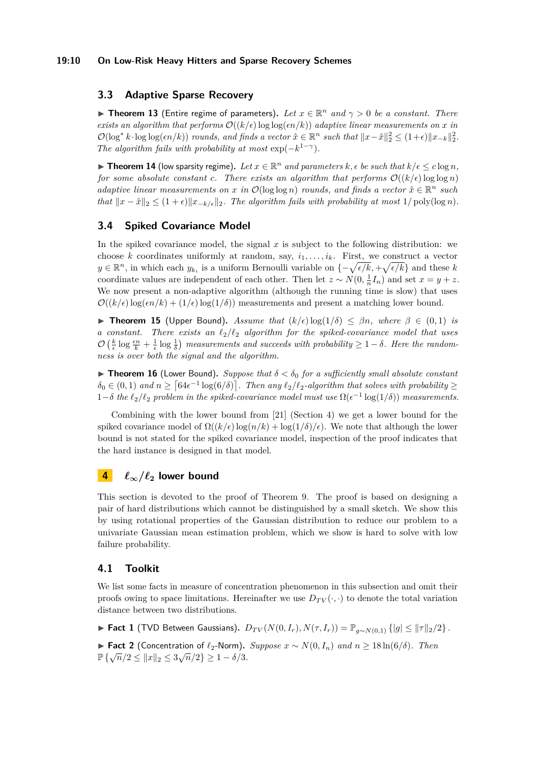### **19:10 On Low-Risk Heavy Hitters and Sparse Recovery Schemes**

# **3.3 Adaptive Sparse Recovery**

**Figure 13** (Entire regime of parameters). Let  $x \in \mathbb{R}^n$  and  $\gamma > 0$  be a constant. There *exists an algorithm that performs*  $\mathcal{O}((k/\epsilon) \log \log(\epsilon n/k))$  *adaptive linear measurements on x in*  $\mathcal{O}(\log^* k \cdot \log \log(\epsilon n/k))$  *rounds, and finds a vector*  $\hat{x} \in \mathbb{R}^n$  *such that*  $||x - \hat{x}||_2^2 \leq (1+\epsilon) ||x_{-k}||_2^2$ . *The algorithm fails with probability at most*  $\exp(-k^{1-\gamma})$ *.* 

▶ Theorem 14 (low sparsity regime). Let  $x \in \mathbb{R}^n$  and parameters  $k, \epsilon$  be such that  $k/\epsilon \leq c \log n$ , *for some absolute constant c. There exists an algorithm that performs*  $\mathcal{O}((k/\epsilon) \log \log n)$ *adaptive linear measurements on x in*  $\mathcal{O}(\log \log n)$  *rounds, and finds a vector*  $\hat{x} \in \mathbb{R}^n$  *such that*  $||x - \hat{x}||_2 \leq (1 + \epsilon) ||x_{-k/\epsilon}||_2$ . The algorithm fails with probability at most 1/ poly(log *n*).

# **3.4 Spiked Covariance Model**

In the spiked covariance model, the signal *x* is subject to the following distribution: we choose *k* coordinates uniformly at random, say,  $i_1, \ldots, i_k$ . First, we construct a vector *y*∈ $\mathbb{R}^n$ , in which each *y*<sub>*ki*</sub> is a uniform Bernoulli variable on  $\{-\sqrt{\epsilon/k}, +\sqrt{\epsilon/k}\}$  and these *k* coordinate values are independent of each other. Then let  $z \sim N(0, \frac{1}{n}I_n)$  and set  $x = y + z$ . We now present a non-adaptive algorithm (although the running time is slow) that uses  $\mathcal{O}((k/\epsilon) \log(\epsilon n/k) + (1/\epsilon) \log(1/\delta))$  measurements and present a matching lower bound.

 $▶$  **Theorem 15** (Upper Bound). *Assume that*  $(k/\epsilon) \log(1/\delta) \leq \beta n$ , where  $\beta \in (0,1)$  *is a constant. There exists an*  $\ell_2/\ell_2$  *algorithm for the spiked-covariance model that uses*  $\mathcal{O}\left(\frac{k}{\epsilon}\log\frac{\epsilon n}{k} + \frac{1}{\epsilon}\log\frac{1}{\delta}\right)$  measurements and succeeds with probability  $\geq 1-\delta$ . Here the random*ness is over both the signal and the algorithm.*

**Theorem 16** (Lower Bound). *Suppose that*  $\delta < \delta_0$  *for a sufficiently small absolute constant*  $\delta_0 \in (0,1)$  and  $n \geq \lceil 64\epsilon^{-1} \log(6/\delta) \rceil$ . Then any  $\ell_2/\ell_2$ -algorithm that solves with probability  $\geq$ 1−*δ the*  $\ell_2/\ell_2$  *problem in the spiked-covariance model must use*  $\Omega(\epsilon^{-1} \log(1/\delta))$  *measurements.* 

Combining with the lower bound from [\[21\]](#page-12-5) (Section 4) we get a lower bound for the spiked covariance model of  $\Omega((k/\epsilon) \log(n/k) + \log(1/\delta)/\epsilon)$ . We note that although the lower bound is not stated for the spiked covariance model, inspection of the proof indicates that the hard instance is designed in that model.

# **4**  $\ell_{\infty}/\ell_2$  lower bound

This section is devoted to the proof of Theorem [9.](#page-8-0) The proof is based on designing a pair of hard distributions which cannot be distinguished by a small sketch. We show this by using rotational properties of the Gaussian distribution to reduce our problem to a univariate Gaussian mean estimation problem, which we show is hard to solve with low failure probability.

### **4.1 Toolkit**

We list some facts in measure of concentration phenomenon in this subsection and omit their proofs owing to space limitations. Hereinafter we use  $D_{TV}(\cdot, \cdot)$  to denote the total variation distance between two distributions.

<span id="page-9-1"></span>► **Fact 1** (TVD Between Gaussians).  $D_{TV}(N(0, I_r), N(\tau, I_r)) = \mathbb{P}_{q \sim N(0,1)} \{ |g| \le ||\tau||_2/2 \}$ .

<span id="page-9-0"></span>**Fact 2** (Concentration of  $\ell_2$ -Norm). Suppose  $x \sim N(0, I_n)$  and  $n \ge 18 \ln(6/\delta)$ . Then  $\mathbb{P}\left\{\sqrt{n}/2 \leq ||x||_2 \leq 3\sqrt{n}/2\right\} \geq 1 - \delta/3.$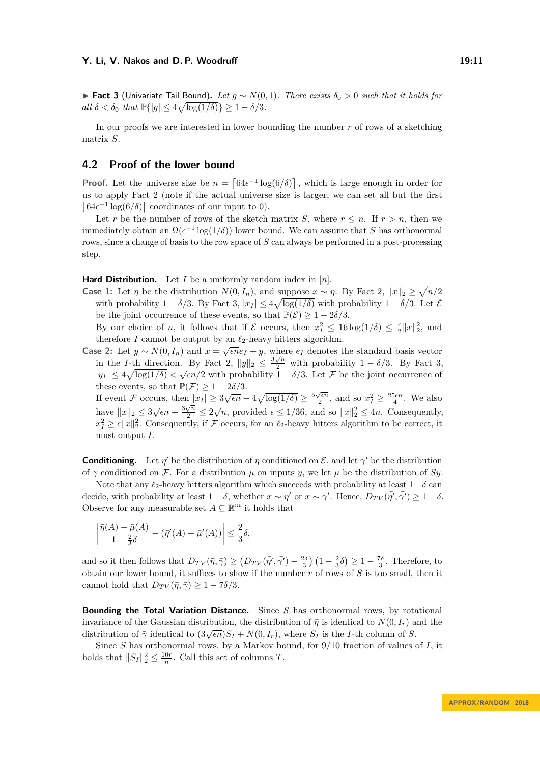<span id="page-10-0"></span> $▶$  **Fact 3** (Univariate Tail Bound). Let  $g \sim N(0, 1)$ . There exists  $\delta_0 > 0$  such that it holds for  $all \ \delta < \delta_0 \ \text{that } \mathbb{P}\{|g| \leq 4\sqrt{\log(1/\delta)}\} \geq 1 - \delta/3.$ 

In our proofs we are interested in lower bounding the number *r* of rows of a sketching matrix *S*.

### **4.2 Proof of the lower bound**

**Proof.** Let the universe size be  $n = \left[64\epsilon^{-1}\log(6/\delta)\right]$ , which is large enough in order for us to apply Fact [2](#page-9-0) (note if the actual universe size is larger, we can set all but the first  $\left[64\epsilon^{-1}\log(6/\delta)\right]$  coordinates of our input to 0).

Let r be the number of rows of the sketch matrix *S*, where  $r \leq n$ . If  $r > n$ , then we immediately obtain an  $\Omega(\epsilon^{-1} \log(1/\delta))$  lower bound. We can assume that *S* has orthonormal rows, since a change of basis to the row space of *S* can always be performed in a post-processing step.

**Hard Distribution.** Let *I* be a uniformly random index in [*n*].

**Case 1:** Let  $\eta$  be the distribution  $N(0, I_n)$ , and suppose  $x \sim \eta$ . By Fact [2,](#page-9-0)  $||x||_2 \ge \sqrt{n/2}$ with probability  $1 - \delta/3$ . By Fact [3,](#page-10-0)  $|x_I| \leq 4\sqrt{\log(1/\delta)}$  with probability  $1 - \delta/3$ . Let  $\mathcal{E}$ be the joint occurrence of these events, so that  $\mathbb{P}(\mathcal{E}) \geq 1 - 2\delta/3$ .

By our choice of *n*, it follows that if  $\mathcal E$  occurs, then  $x_I^2 \leq 16 \log(1/\delta) \leq \frac{\epsilon}{2} ||x||_2^2$ , and therefore *I* cannot be output by an  $\ell_2$ -heavy hitters algorithm.

Case 2: Let *y* ∼ *N*(0*, I<sub>n</sub>*) and *x* = √*ene<sub>I</sub>* + *y*, where *e<sub>I</sub>* denotes the standard basis vector in the *I*-th direction. By Fact [2,](#page-9-0)  $||y||_2 \leq \frac{3\sqrt{n}}{2}$  with probability 1 – *δ*/3. By Fact [3,](#page-10-0)  $|y_I| \leq 4\sqrt{\log(1/\delta)} < \sqrt{\epsilon n}/2$  with probability  $1 - \delta/3$ . Let F be the joint occurrence of these events, so that  $\mathbb{P}(\mathcal{F}) \geq 1 - 2\delta/3$ .

If event F occurs, then  $|x_I| \ge 3\sqrt{\epsilon n} - 4\sqrt{\log(1/\delta)} \ge \frac{5\sqrt{\epsilon n}}{2}$  $\ln |\overline{x}_I| \ge 3\sqrt{\epsilon n} - 4\sqrt{\log(1/\delta)} \ge \frac{5\sqrt{\epsilon n}}{2}$ , and so  $x_I^2 \ge \frac{25\epsilon n}{4}$ . We also have  $||x||_2 \le 3\sqrt{\epsilon n} + \frac{3\sqrt{n}}{2} \le 2\sqrt{n}$ , provided  $\epsilon \le 1/36$ , and so  $||x||_2^2 \le 4n$ . Consequently,  $x_I^2 \geq \epsilon ||x||_2^2$ . Consequently, if F occurs, for an  $\ell_2$ -heavy hitters algorithm to be correct, it must output *I*.

**Conditioning.** Let  $\eta'$  be the distribution of  $\eta$  conditioned on  $\mathcal{E}$ , and let  $\gamma'$  be the distribution of  $\gamma$  conditioned on F. For a distribution  $\mu$  on inputs *y*, we let  $\bar{\mu}$  be the distribution of Sy.

Note that any  $\ell_2$ -heavy hitters algorithm which succeeds with probability at least  $1-\delta$  can decide, with probability at least  $1 - \delta$ , whether  $x \sim \eta'$  or  $x \sim \gamma'$ . Hence,  $D_{TV}(\overline{\eta'}, \overline{\gamma'}) \geq 1 - \delta$ . Observe for any measurable set  $A \subseteq \mathbb{R}^m$  it holds that

$$
\left| \frac{\bar{\eta}(A) - \bar{\mu}(A)}{1 - \frac{2}{3}\delta} - (\bar{\eta}'(A) - \bar{\mu}'(A)) \right| \le \frac{2}{3}\delta,
$$

and so it then follows that  $D_{TV}(\bar{\eta}, \bar{\gamma}) \ge (D_{TV}(\bar{\eta'}, \bar{\gamma'}) - \frac{2\delta}{3}) (1 - \frac{2}{3}\delta) \ge 1 - \frac{7\delta}{3}$ . Therefore, to obtain our lower bound, it suffices to show if the number *r* of rows of *S* is too small, then it cannot hold that  $D_{TV}(\bar{\eta}, \bar{\gamma}) \geq 1 - 7\delta/3$ .

**Bounding the Total Variation Distance.** Since *S* has orthonormal rows, by rotational invariance of the Gaussian distribution, the distribution of  $\bar{\eta}$  is identical to  $N(0, I_r)$  and the  $\alpha$ <sup>*Invariance* of the Gaussian distribution, the distribution of *η* is nethered to  $N(0, I_r)$  and distribution of *δ*.</sup>

Since *S* has orthonormal rows, by a Markov bound, for 9*/*10 fraction of values of *I*, it holds that  $||S_I||_2^2 \le \frac{10r}{n}$ . Call this set of columns *T*.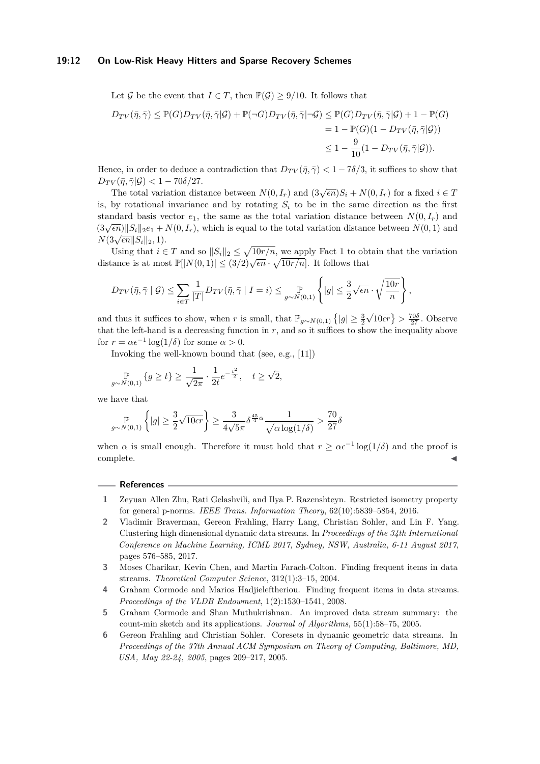#### **19:12 On Low-Risk Heavy Hitters and Sparse Recovery Schemes**

Let G be the event that  $I \in T$ , then  $\mathbb{P}(\mathcal{G}) \geq 9/10$ . It follows that

$$
D_{TV}(\bar{\eta}, \bar{\gamma}) \leq \mathbb{P}(G)D_{TV}(\bar{\eta}, \bar{\gamma}|\mathcal{G}) + \mathbb{P}(\neg G)D_{TV}(\bar{\eta}, \bar{\gamma}|\neg \mathcal{G}) \leq \mathbb{P}(G)D_{TV}(\bar{\eta}, \bar{\gamma}|\mathcal{G}) + 1 - \mathbb{P}(G)
$$
  
= 1 - \mathbb{P}(G)(1 - D\_{TV}(\bar{\eta}, \bar{\gamma}|\mathcal{G}))  

$$
\leq 1 - \frac{9}{10}(1 - D_{TV}(\bar{\eta}, \bar{\gamma}|\mathcal{G})).
$$

Hence, in order to deduce a contradiction that  $D_{TV}(\bar{\eta}, \bar{\gamma}) < 1 - 7\delta/3$ , it suffices to show that  $D_{TV}(\bar{\eta}, \bar{\gamma}|\mathcal{G}) < 1 - 70\delta/27.$ 

The total variation distance between  $N(0, I_r)$  and  $(3\sqrt{\epsilon n})S_i + N(0, I_r)$  for a fixed  $i \in T$ is, by rotational invariance and by rotating  $S_i$  to be in the same direction as the first standard basis vector  $e_1$ , the same as the total variation distance between  $N(0, I_r)$  and  $(3\sqrt{\epsilon n})||S_i||_2e_1 + N(0, I_r)$ , which is equal to the total variation distance between  $N(0, 1)$  and  $(3\sqrt{\epsilon n})||S_i||_2e_1 + N(0, I_r)$ , which is equal to the total variation distance between  $N(0, 1)$  and  $N(3\sqrt{\epsilon n}||S_i||_2, 1).$ 

Using that  $i \in T$  and so  $||S_i||_2 \leq \sqrt{10r/n}$ , we apply Fact [1](#page-9-1) to obtain that the variation distance is at most  $\mathbb{P}[|N(0,1)|] \leq (3/2)\sqrt{\epsilon n} \cdot \sqrt{10r/n}$ . It follows that

$$
D_{TV}(\bar{\eta}, \bar{\gamma} \mid \mathcal{G}) \leq \sum_{i \in T} \frac{1}{|T|} D_{TV}(\bar{\eta}, \bar{\gamma} \mid I = i) \leq \sup_{g \sim N(0, 1)} \left\{ |g| \leq \frac{3}{2} \sqrt{\epsilon n} \cdot \sqrt{\frac{10r}{n}} \right\},\,
$$

and thus it suffices to show, when *r* is small, that  $\mathbb{P}_{g \sim N(0,1)} \left\{ |g| \geq \frac{3}{2} \right\}$  $\sqrt{10\epsilon r}$ } >  $\frac{70\delta}{27}$ . Observe that the left-hand is a decreasing function in  $r$ , and so it suffices to show the inequality above for  $r = \alpha \epsilon^{-1} \log(1/\delta)$  for some  $\alpha > 0$ .

Invoking the well-known bound that (see, e.g., [\[11\]](#page-12-15))

$$
\mathop{\mathbb P}_{g\sim N(0,1)}\left\{g\geq t\right\}\geq \frac{1}{\sqrt{2\pi}}\cdot \frac{1}{2t}e^{-\frac{t^2}{2}},\quad t\geq \sqrt{2},
$$

we have that

$$
\underset{g \sim N(0,1)}{\mathbb{P}}\left\{|g| \geq \frac{3}{2}\sqrt{10\epsilon r}\right\} \geq \frac{3}{4\sqrt{5\pi}}\delta^{\frac{45}{4}\alpha}\frac{1}{\sqrt{\alpha\log(1/\delta)}} > \frac{70}{27}\delta
$$

when *α* is small enough. Therefore it must hold that  $r \geq \alpha \epsilon^{-1} \log(1/\delta)$  and the proof is  $\blacksquare$ complete.

#### **References**  $\overline{\phantom{a}}$

- <span id="page-11-2"></span>**1** Zeyuan Allen Zhu, Rati Gelashvili, and Ilya P. Razenshteyn. Restricted isometry property for general p-norms. *IEEE Trans. Information Theory*, 62(10):5839–5854, 2016.
- <span id="page-11-1"></span>**2** Vladimir Braverman, Gereon Frahling, Harry Lang, Christian Sohler, and Lin F. Yang. Clustering high dimensional dynamic data streams. In *Proceedings of the 34th International Conference on Machine Learning, ICML 2017, Sydney, NSW, Australia, 6-11 August 2017*, pages 576–585, 2017.
- <span id="page-11-4"></span>**3** Moses Charikar, Kevin Chen, and Martin Farach-Colton. Finding frequent items in data streams. *Theoretical Computer Science*, 312(1):3–15, 2004.
- <span id="page-11-5"></span>**4** Graham Cormode and Marios Hadjieleftheriou. Finding frequent items in data streams. *Proceedings of the VLDB Endowment*, 1(2):1530–1541, 2008.
- <span id="page-11-3"></span>**5** Graham Cormode and Shan Muthukrishnan. An improved data stream summary: the count-min sketch and its applications. *Journal of Algorithms*, 55(1):58–75, 2005.
- <span id="page-11-0"></span>**6** Gereon Frahling and Christian Sohler. Coresets in dynamic geometric data streams. In *Proceedings of the 37th Annual ACM Symposium on Theory of Computing, Baltimore, MD, USA, May 22-24, 2005*, pages 209–217, 2005.